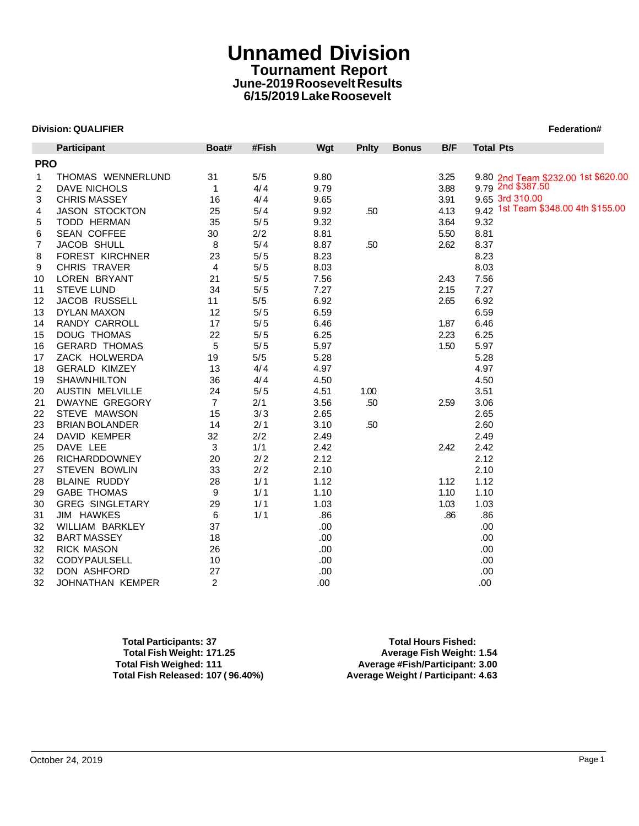# **Unnamed Division Tournament Report June-2019 Roosevelt Results 6/15/2019 Lake Roosevelt**

### **Division: QUALIFIER Federation#**

| <b>Division: QUALIFIER</b> |                        |                |       |            |              |              |      | Federation#      |                                     |
|----------------------------|------------------------|----------------|-------|------------|--------------|--------------|------|------------------|-------------------------------------|
|                            | <b>Participant</b>     | Boat#          | #Fish | <b>Wgt</b> | <b>Pnity</b> | <b>Bonus</b> | B/F  | <b>Total Pts</b> |                                     |
| <b>PRO</b>                 |                        |                |       |            |              |              |      |                  |                                     |
| 1                          | THOMAS WENNERLUND      | 31             | 5/5   | 9.80       |              |              | 3.25 |                  | 9.80 2nd Team \$232.00 1st \$620.00 |
| 2                          | DAVE NICHOLS           | $\mathbf{1}$   | 4/4   | 9.79       |              |              | 3.88 |                  | 9.79 2nd \$387.50                   |
| 3                          | <b>CHRIS MASSEY</b>    | 16             | 4/4   | 9.65       |              |              | 3.91 |                  | 9.65 3rd 310.00                     |
| 4                          | <b>JASON STOCKTON</b>  | 25             | 5/4   | 9.92       | .50          |              | 4.13 |                  | 9.42 1st Team \$348.00 4th \$155.00 |
| 5                          | <b>TODD HERMAN</b>     | 35             | 5/5   | 9.32       |              |              | 3.64 | 9.32             |                                     |
| 6                          | <b>SEAN COFFEE</b>     | 30             | 2/2   | 8.81       |              |              | 5.50 | 8.81             |                                     |
| 7                          | JACOB SHULL            | 8              | 5/4   | 8.87       | .50          |              | 2.62 | 8.37             |                                     |
| 8                          | FOREST KIRCHNER        | 23             | 5/5   | 8.23       |              |              |      | 8.23             |                                     |
| 9                          | CHRIS TRAVER           | 4              | 5/5   | 8.03       |              |              |      | 8.03             |                                     |
| 10                         | LOREN BRYANT           | 21             | 5/5   | 7.56       |              |              | 2.43 | 7.56             |                                     |
| 11                         | <b>STEVE LUND</b>      | 34             | 5/5   | 7.27       |              |              | 2.15 | 7.27             |                                     |
| 12                         | <b>JACOB RUSSELL</b>   | 11             | 5/5   | 6.92       |              |              | 2.65 | 6.92             |                                     |
| 13                         | <b>DYLAN MAXON</b>     | 12             | 5/5   | 6.59       |              |              |      | 6.59             |                                     |
| 14                         | RANDY CARROLL          | 17             | 5/5   | 6.46       |              |              | 1.87 | 6.46             |                                     |
| 15                         | DOUG THOMAS            | 22             | 5/5   | 6.25       |              |              | 2.23 | 6.25             |                                     |
| 16                         | <b>GERARD THOMAS</b>   | 5              | 5/5   | 5.97       |              |              | 1.50 | 5.97             |                                     |
| 17                         | ZACK HOLWERDA          | 19             | 5/5   | 5.28       |              |              |      | 5.28             |                                     |
| 18                         | <b>GERALD KIMZEY</b>   | 13             | 4/4   | 4.97       |              |              |      | 4.97             |                                     |
| 19                         | <b>SHAWNHILTON</b>     | 36             | 4/4   | 4.50       |              |              |      | 4.50             |                                     |
| 20                         | <b>AUSTIN MELVILLE</b> | 24             | 5/5   | 4.51       | 1.00         |              |      | 3.51             |                                     |
| 21                         | DWAYNE GREGORY         | $\overline{7}$ | 2/1   | 3.56       | .50          |              | 2.59 | 3.06             |                                     |
| 22                         | STEVE MAWSON           | 15             | 3/3   | 2.65       |              |              |      | 2.65             |                                     |
| 23                         | <b>BRIAN BOLANDER</b>  | 14             | 2/1   | 3.10       | .50          |              |      | 2.60             |                                     |
| 24                         | DAVID KEMPER           | 32             | 2/2   | 2.49       |              |              |      | 2.49             |                                     |
| 25                         | DAVE LEE               | 3              | 1/1   | 2.42       |              |              | 2.42 | 2.42             |                                     |
| 26                         | <b>RICHARDDOWNEY</b>   | 20             | 2/2   | 2.12       |              |              |      | 2.12             |                                     |
| 27                         | <b>STEVEN BOWLIN</b>   | 33             | 2/2   | 2.10       |              |              |      | 2.10             |                                     |
| 28                         | BLAINE RUDDY           | 28             | 1/1   | 1.12       |              |              | 1.12 | 1.12             |                                     |
| 29                         | <b>GABE THOMAS</b>     | 9              | 1/1   | 1.10       |              |              | 1.10 | 1.10             |                                     |
| 30                         | <b>GREG SINGLETARY</b> | 29             | 1/1   | 1.03       |              |              | 1.03 | 1.03             |                                     |
| 31                         | <b>JIM HAWKES</b>      | 6              | 1/1   | .86        |              |              | .86  | .86              |                                     |
| 32                         | WILLIAM BARKLEY        | 37             |       | .00        |              |              |      | .00              |                                     |
| 32                         | <b>BART MASSEY</b>     | 18             |       | .00        |              |              |      | .00.             |                                     |
| 32                         | <b>RICK MASON</b>      | 26             |       | .00        |              |              |      | .00              |                                     |
| 32                         | <b>CODY PAULSELL</b>   | 10             |       | .00        |              |              |      | .00.             |                                     |
| 32                         | DON ASHFORD            | 27             |       | .00        |              |              |      | .00.             |                                     |
| 32                         | JOHNATHAN KEMPER       | 2              |       | .00        |              |              |      | .00              |                                     |

**Total Participants: 37 Total Hours Fished: Total Fish Weight: 171.25 Average Fish Weight: 1.54 Total Fish Released: 107 ( 96.40%) Average Weight / Participant: 4.63**

**Total Fish Weighed: 111 Average #Fish/Participant: 3.00**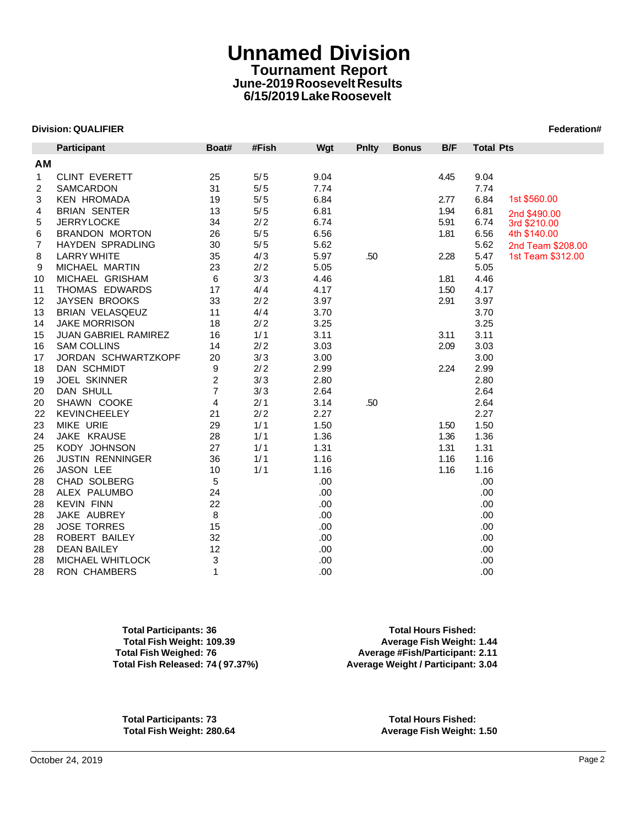# **Unnamed Division Tournament Report June-2019 Roosevelt Results 6/15/2019 Lake Roosevelt**

### **Division: QUALIFIER Federation#**

|    | <b>Division: QUALIFIER</b><br>Participant | Boat#          | #Fish | Wgt  | Pnlty | <b>Bonus</b> | B/F  | <b>Total Pts</b> |                              |
|----|-------------------------------------------|----------------|-------|------|-------|--------------|------|------------------|------------------------------|
| AМ |                                           |                |       |      |       |              |      |                  |                              |
| 1  | <b>CLINT EVERETT</b>                      | 25             | 5/5   | 9.04 |       |              | 4.45 | 9.04             |                              |
| 2  | <b>SAMCARDON</b>                          | 31             | 5/5   | 7.74 |       |              |      | 7.74             |                              |
| 3  | <b>KEN HROMADA</b>                        | 19             | 5/5   | 6.84 |       |              | 2.77 | 6.84             | 1st \$560.00                 |
| 4  | <b>BRIAN SENTER</b>                       | 13             | 5/5   | 6.81 |       |              | 1.94 | 6.81             |                              |
| 5  | <b>JERRYLOCKE</b>                         | 34             | 2/2   | 6.74 |       |              | 5.91 | 6.74             | 2nd \$490.00<br>3rd \$210.00 |
| 6  | <b>BRANDON MORTON</b>                     | 26             | 5/5   | 6.56 |       |              | 1.81 | 6.56             | 4th \$140.00                 |
| 7  | <b>HAYDEN SPRADLING</b>                   | 30             | 5/5   | 5.62 |       |              |      | 5.62             | 2nd Team \$208.00            |
| 8  | <b>LARRY WHITE</b>                        | 35             | 4/3   | 5.97 | .50   |              | 2.28 | 5.47             | 1st Team \$312.00            |
| 9  | MICHAEL MARTIN                            | 23             | 2/2   | 5.05 |       |              |      | 5.05             |                              |
| 10 | MICHAEL GRISHAM                           | 6              | 3/3   | 4.46 |       |              | 1.81 | 4.46             |                              |
| 11 | THOMAS EDWARDS                            | 17             | 4/4   | 4.17 |       |              | 1.50 | 4.17             |                              |
| 12 | <b>JAYSEN BROOKS</b>                      | 33             | 2/2   | 3.97 |       |              | 2.91 | 3.97             |                              |
| 13 | BRIAN VELASQEUZ                           | 11             | 4/4   | 3.70 |       |              |      | 3.70             |                              |
| 14 | <b>JAKE MORRISON</b>                      | 18             | 2/2   | 3.25 |       |              |      | 3.25             |                              |
| 15 | <b>JUAN GABRIEL RAMIREZ</b>               | 16             | 1/1   | 3.11 |       |              | 3.11 | 3.11             |                              |
| 16 | <b>SAM COLLINS</b>                        | 14             | 2/2   | 3.03 |       |              | 2.09 | 3.03             |                              |
| 17 | JORDAN SCHWARTZKOPF                       | 20             | 3/3   | 3.00 |       |              |      | 3.00             |                              |
| 18 | DAN SCHMIDT                               | 9              | 2/2   | 2.99 |       |              | 2.24 | 2.99             |                              |
| 19 | <b>JOEL SKINNER</b>                       | $\overline{c}$ | 3/3   | 2.80 |       |              |      | 2.80             |                              |
| 20 | DAN SHULL                                 | 7              | 3/3   | 2.64 |       |              |      | 2.64             |                              |
| 20 | SHAWN COOKE                               | 4              | 2/1   | 3.14 | .50   |              |      | 2.64             |                              |
| 22 | <b>KEVINCHEELEY</b>                       | 21             | 2/2   | 2.27 |       |              |      | 2.27             |                              |
| 23 | MIKE URIE                                 | 29             | 1/1   | 1.50 |       |              | 1.50 | 1.50             |                              |
| 24 | JAKE KRAUSE                               | 28             | 1/1   | 1.36 |       |              | 1.36 | 1.36             |                              |
| 25 | KODY JOHNSON                              | 27             | 1/1   | 1.31 |       |              | 1.31 | 1.31             |                              |
| 26 | <b>JUSTIN RENNINGER</b>                   | 36             | 1/1   | 1.16 |       |              | 1.16 | 1.16             |                              |
| 26 | JASON LEE                                 | 10             | 1/1   | 1.16 |       |              | 1.16 | 1.16             |                              |
| 28 | <b>CHAD SOLBERG</b>                       | 5              |       | .00  |       |              |      | .00.             |                              |
| 28 | ALEX PALUMBO                              | 24             |       | .00  |       |              |      | .00              |                              |
| 28 | <b>KEVIN FINN</b>                         | 22             |       | .00  |       |              |      | .00              |                              |
| 28 | JAKE AUBREY                               | 8              |       | .00. |       |              |      | .00              |                              |
| 28 | <b>JOSE TORRES</b>                        | 15             |       | .00  |       |              |      | .00              |                              |
| 28 | ROBERT BAILEY                             | 32             |       | .00. |       |              |      | .00.             |                              |
| 28 | <b>DEAN BAILEY</b>                        | 12             |       | .00  |       |              |      | .00.             |                              |
| 28 | MICHAEL WHITLOCK                          | 3              |       | .00  |       |              |      | .00              |                              |
| 28 | <b>RON CHAMBERS</b>                       | 1              |       | .00  |       |              |      | .00              |                              |

**Total Participants: 36 Total Hours Fished:** 

**Total Fish Weight: 109.39 Average Fish Weight: 1.44 Total Fish Weighed: 76 Average #Fish/Participant: 2.11 Total Fish Released: 74 ( 97.37%) Average Weight / Participant: 3.04**

**Total Participants: 73 Total Hours Fished:** 

**Total Fish Weight: 280.64 Average Fish Weight: 1.50**